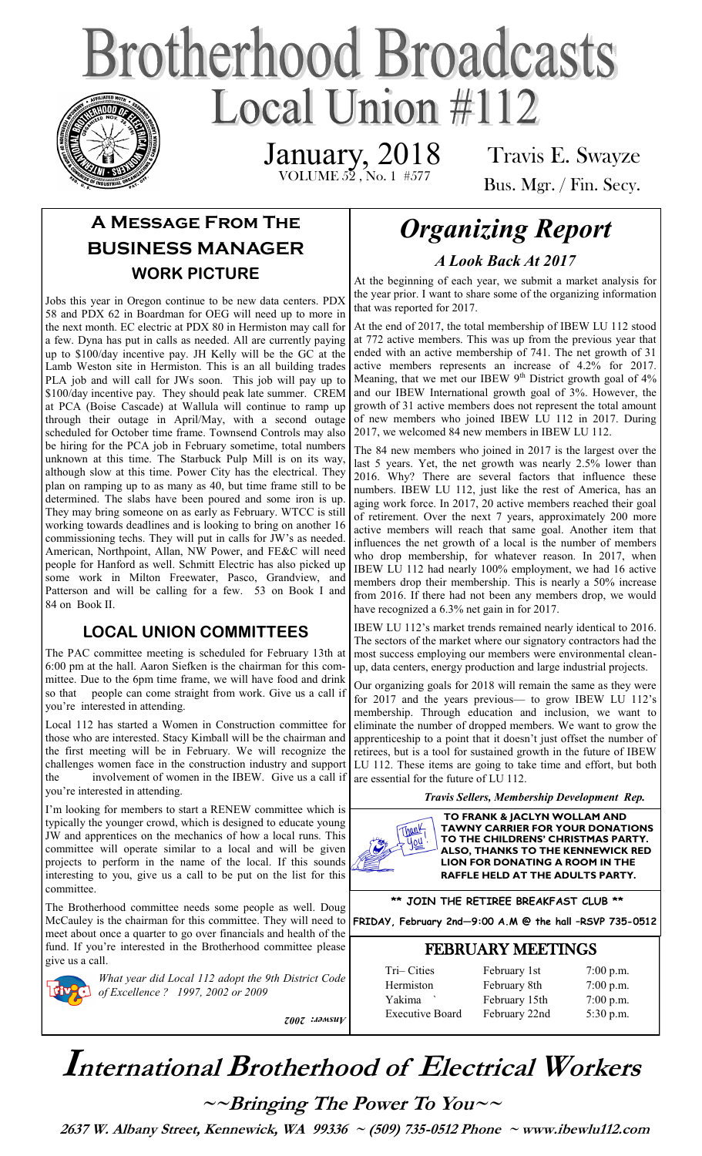# **Brotherhood Broadcasts** Local Union  $\#112$

 VOLUME 52 , No. 1 #577 January, 2018

Travis E. Swayze Bus. Mgr. / Fin. Secy.

## **A Message From The BUSINESS MANAGER WORK PICTURE**

Jobs this year in Oregon continue to be new data centers. PDX 58 and PDX 62 in Boardman for OEG will need up to more in the next month. EC electric at PDX 80 in Hermiston may call for a few. Dyna has put in calls as needed. All are currently paying up to \$100/day incentive pay. JH Kelly will be the GC at the Lamb Weston site in Hermiston. This is an all building trades PLA job and will call for JWs soon. This job will pay up to \$100/day incentive pay. They should peak late summer. CREM at PCA (Boise Cascade) at Wallula will continue to ramp up through their outage in April/May, with a second outage scheduled for October time frame. Townsend Controls may also be hiring for the PCA job in February sometime, total numbers unknown at this time. The Starbuck Pulp Mill is on its way, although slow at this time. Power City has the electrical. They plan on ramping up to as many as 40, but time frame still to be determined. The slabs have been poured and some iron is up. They may bring someone on as early as February. WTCC is still working towards deadlines and is looking to bring on another 16 commissioning techs. They will put in calls for JW's as needed. American, Northpoint, Allan, NW Power, and FE&C will need people for Hanford as well. Schmitt Electric has also picked up some work in Milton Freewater, Pasco, Grandview, and Patterson and will be calling for a few. 53 on Book I and 84 on Book II.

#### **LOCAL UNION COMMITTEES**

The PAC committee meeting is scheduled for February 13th at 6:00 pm at the hall. Aaron Siefken is the chairman for this committee. Due to the 6pm time frame, we will have food and drink so that people can come straight from work. Give us a call if you're interested in attending.

Local 112 has started a Women in Construction committee for those who are interested. Stacy Kimball will be the chairman and the first meeting will be in February. We will recognize the challenges women face in the construction industry and support the involvement of women in the IBEW. Give us a call if you're interested in attending.

I'm looking for members to start a RENEW committee which is typically the younger crowd, which is designed to educate young JW and apprentices on the mechanics of how a local runs. This committee will operate similar to a local and will be given projects to perform in the name of the local. If this sounds interesting to you, give us a call to be put on the list for this committee.

The Brotherhood committee needs some people as well. Doug meet about once a quarter to go over financials and health of the fund. If you're interested in the Brotherhood committee please give us a call.

*What year did Local 112 adopt the 9th District Code of Excellence ? 1997, 2002 or 2009* 

*Answer: 2002*

# *Organizing Report A Look Back At 2017*

At the beginning of each year, we submit a market analysis for the year prior. I want to share some of the organizing information that was reported for 2017.

At the end of 2017, the total membership of IBEW LU 112 stood at 772 active members. This was up from the previous year that ended with an active membership of 741. The net growth of 31 active members represents an increase of 4.2% for 2017. Meaning, that we met our IBEW 9<sup>th</sup> District growth goal of 4% and our IBEW International growth goal of 3%. However, the growth of 31 active members does not represent the total amount of new members who joined IBEW LU 112 in 2017. During 2017, we welcomed 84 new members in IBEW LU 112.

The 84 new members who joined in 2017 is the largest over the last 5 years. Yet, the net growth was nearly 2.5% lower than 2016. Why? There are several factors that influence these numbers. IBEW LU 112, just like the rest of America, has an aging work force. In 2017, 20 active members reached their goal of retirement. Over the next 7 years, approximately 200 more active members will reach that same goal. Another item that influences the net growth of a local is the number of members who drop membership, for whatever reason. In 2017, when IBEW LU 112 had nearly 100% employment, we had 16 active members drop their membership. This is nearly a 50% increase from 2016. If there had not been any members drop, we would have recognized a 6.3% net gain in for 2017.

IBEW LU 112's market trends remained nearly identical to 2016. The sectors of the market where our signatory contractors had the most success employing our members were environmental cleanup, data centers, energy production and large industrial projects.

Our organizing goals for 2018 will remain the same as they were for 2017 and the years previous— to grow IBEW LU 112's membership. Through education and inclusion, we want to eliminate the number of dropped members. We want to grow the apprenticeship to a point that it doesn't just offset the number of retirees, but is a tool for sustained growth in the future of IBEW LU 112. These items are going to take time and effort, but both are essential for the future of LU 112.

*Travis Sellers, Membership Development Rep.* 



**TO FRANK & JACLYN WOLLAM AND TAWNY CARRIER FOR YOUR DONATIONS TO THE CHILDRENS' CHRISTMAS PARTY. ALSO, THANKS TO THE KENNEWICK RED LION FOR DONATING A ROOM IN THE RAFFLE HELD AT THE ADULTS PARTY.** 

**\*\* JOIN THE RETIREE BREAKFAST CLUB \*\***

McCauley is the chairman for this committee. They will need to **FRIDAY, February 2nd—9:00 A.M @ the hall –RSVP 735-0512**

#### FEBRUARY MEETINGS

| Tri-Cities<br>Hermiston | February 1st<br>February 8th | $7:00$ p.m.<br>$7:00$ p.m. |
|-------------------------|------------------------------|----------------------------|
| Yakima                  | February 15th                | $7:00$ p.m.                |
| <b>Executive Board</b>  | February 22nd                | 5:30 p.m.                  |

# **International Brotherhood of <sup>E</sup>lectrical Workers**

**~~Bringing The Power To You~~** 

 **2637 W. Albany Street, Kennewick, WA 99336 ~ (509) 735-0512 Phone ~ www.ibewlu112.com**